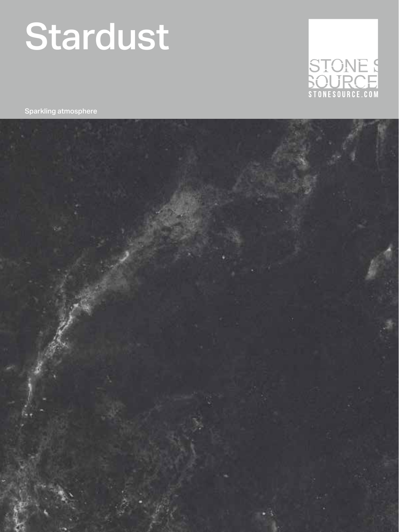## Stardust

# STONES<br>SOURCE

Sparkling atmosphere

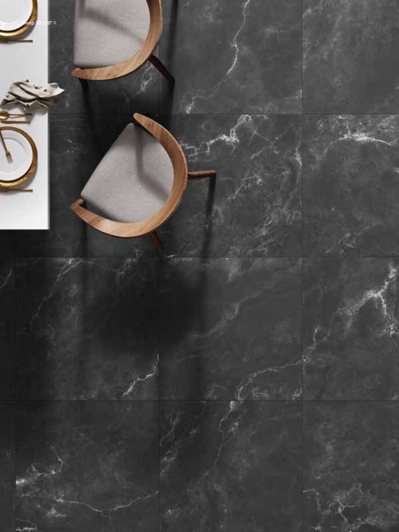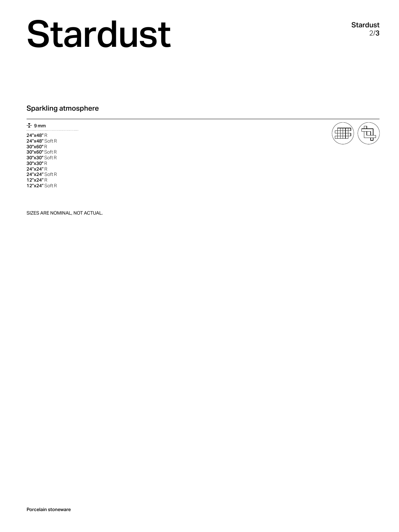## Stardust

Sparkling atmosphere

. . . . . . . . . . . . . .

 $\frac{V}{4}$  9 mm 24"x48" R 24"x48" Soft R 30"x60" R 30"x60" Soft R 30"x30" Soft R 30"x30" R 24"x24" R 24"x24" Soft R 12"x24" R 12"x24" Soft R

SIZES ARE NOMINAL, NOT ACTUAL.

 $\mathbf{u}$ 囤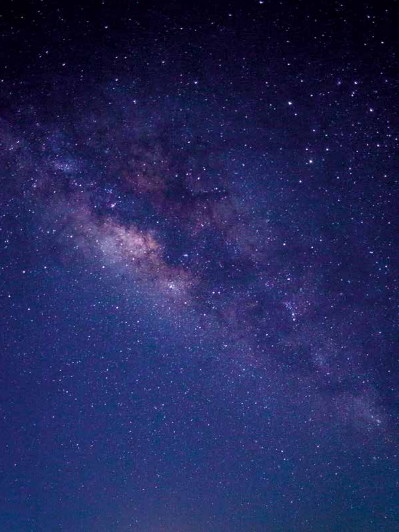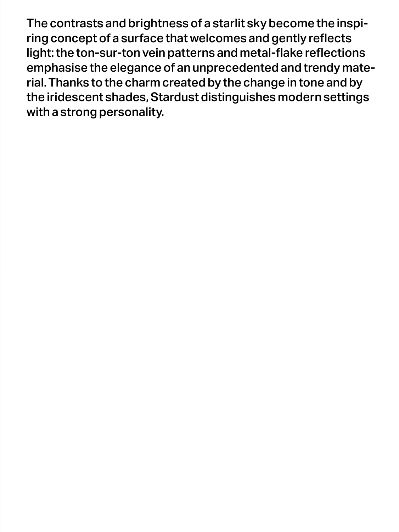The contrasts and brightness of a starlit sky become the inspiring concept of a surface that welcomes and gently reflects light: the ton-sur-ton vein patterns and metal-flake reflections emphasise the elegance of an unprecedented and trendy material. Thanks to the charm created by the change in tone and by the iridescent shades, Stardust distinguishes modern settings with a strong personality.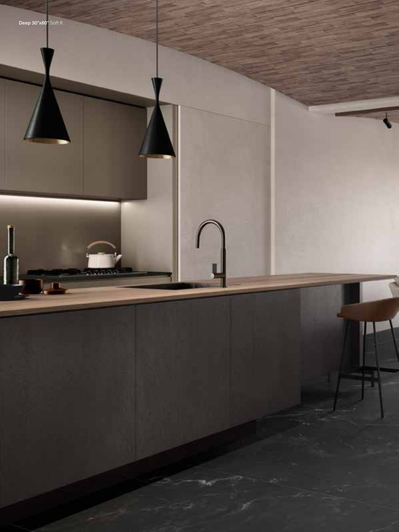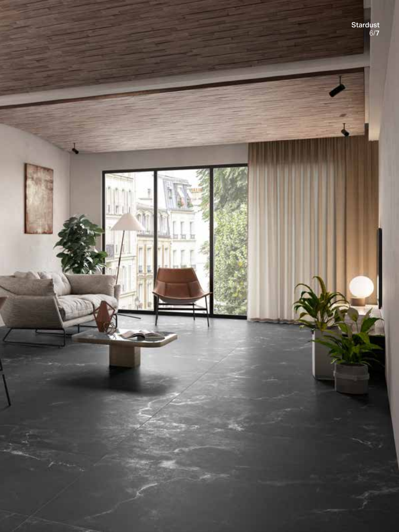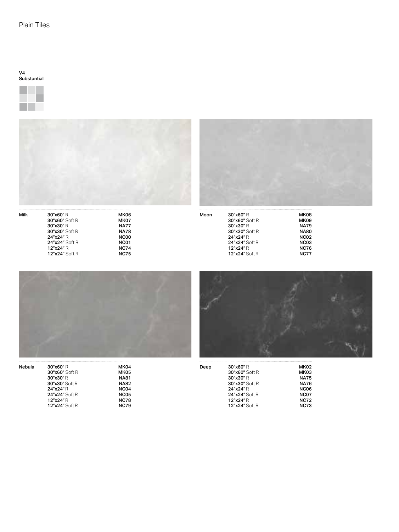





| 30"x60"R              | MK06        | Moon | 30"x60"R       | <b>MK08</b>      |
|-----------------------|-------------|------|----------------|------------------|
| <b>30"x60"</b> Soft R | MK07        |      | 30"x60" Soft R | MK09             |
| 30"x30"R              | <b>NA77</b> |      | 30"x30"R       | <b>NA79</b>      |
| <b>30"x30"</b> Soft R | <b>NA78</b> |      | 30"x30" Soft R | <b>NA80</b>      |
| 24"x24" R             | NC00        |      | 24"x24" R      | <b>NC02</b>      |
| 24"x24" Soft R        | NC01        |      | 24"x24" Soft R | NC <sub>03</sub> |
| 12"x24"R              | <b>NC74</b> |      | 12"x24"R       | <b>NC76</b>      |
| 12"x24" Soft R        | <b>NC75</b> |      | 12"x24" Soft R | <b>NC77</b>      |
|                       |             |      |                |                  |





| Nebula | 30"x60"R         | MK04             | Deep | 30"x60" R      | <b>MK02</b> |
|--------|------------------|------------------|------|----------------|-------------|
|        | 30"x60" Soft R   | MK05             |      | 30"x60" Soft R | MK03        |
|        | $30"$ x $30"$ R  | <b>NA81</b>      |      | 30"x30"R       | <b>NA75</b> |
|        | 30"x30" Soft R   | <b>NA82</b>      |      | 30"x30" Soft R | <b>NA76</b> |
|        | 24"x24"R         | NC <sub>04</sub> |      | 24"x24" R      | <b>NC06</b> |
|        | 24"x24" Soft R   | NC05             |      | 24"x24" Soft R | <b>NC07</b> |
|        | 12"x24"R         | <b>NC78</b>      |      | $12''$ x24" R  | <b>NC72</b> |
|        | $12"x24"$ Soft R | <b>NC79</b>      |      | 12"x24" Soft R | <b>NC73</b> |
|        |                  |                  |      |                |             |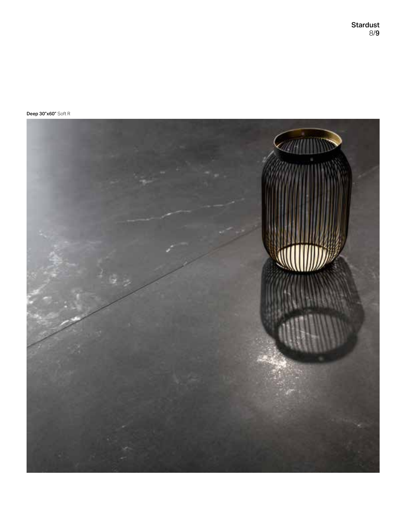Deep 30"x60" Soft R

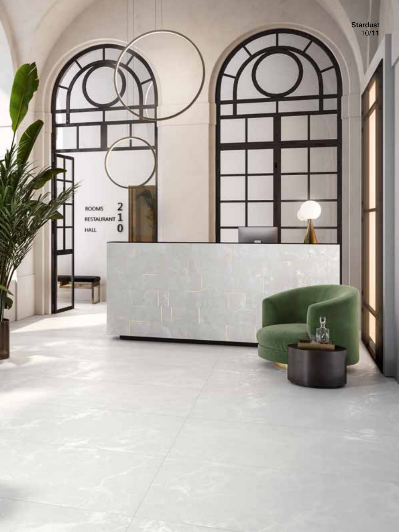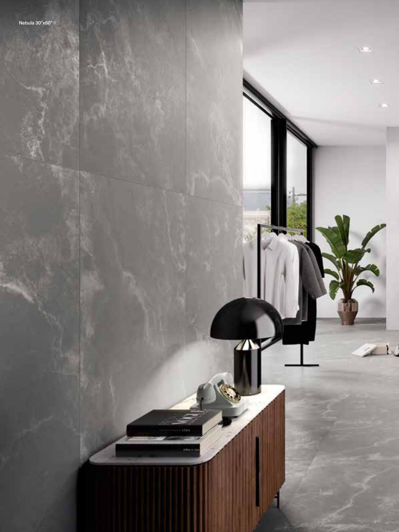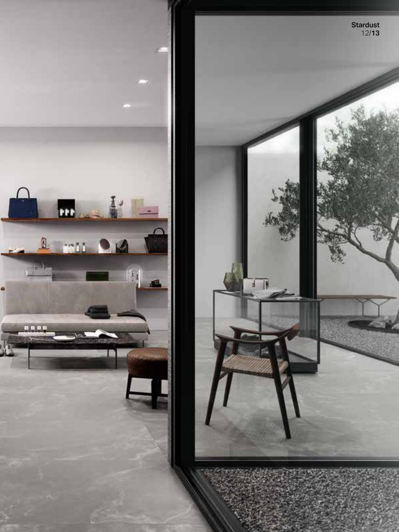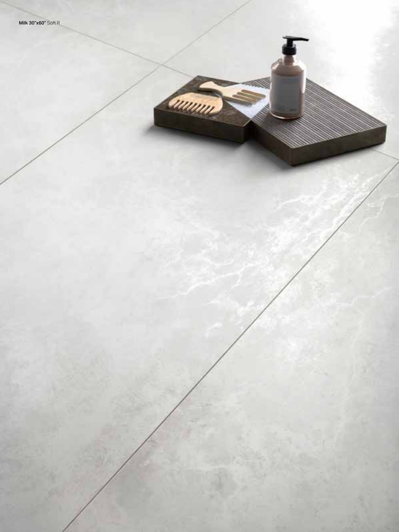m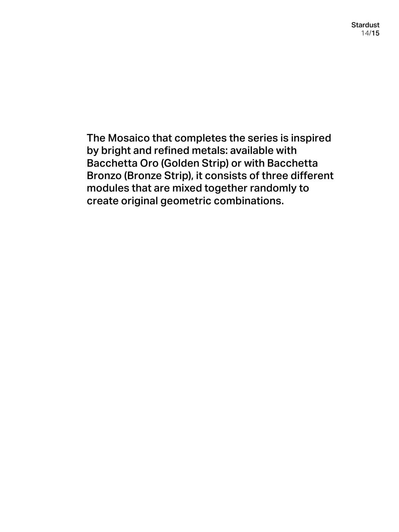The Mosaico that completes the series is inspired by bright and refined metals: available with Bacchetta Oro (Golden Strip) or with Bacchetta Bronzo (Bronze Strip), it consists of three different modules that are mixed together randomly to create original geometric combinations.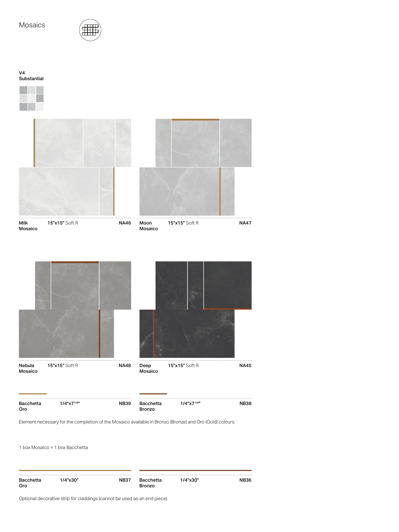Mosaics



#### V4 Substantial





| Bacchetta<br>Oro | 1/4"x71/4" | <b>NB39</b> | Bacchetta | $1/4$ "x7 $1/4$ " | <b>NB38</b> |
|------------------|------------|-------------|-----------|-------------------|-------------|

Element necessary for the completion of the Mosaico available in Bronzo (Bronze) and Oro (Gold) colours.

1 box Mosaico = 1 box Bacchetta

| Bacchetta<br>Oro | 1/4"x30" | <b>NB37</b> | Bacchetta<br>Bronzo | 1/4"x30" | <b>NB36</b> |
|------------------|----------|-------------|---------------------|----------|-------------|

Optional decorative strip for claddings (cannot be used as an end piece).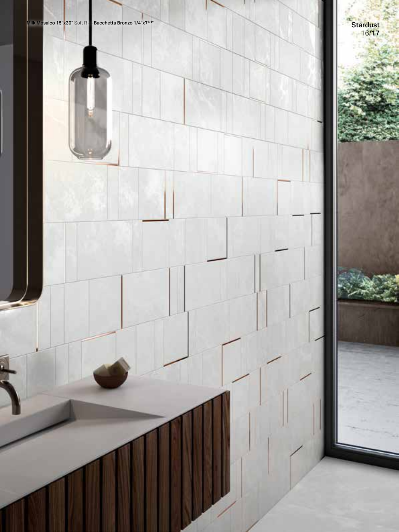

Stardust<br>16/17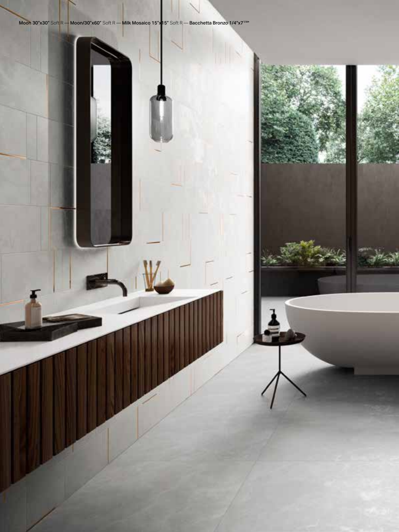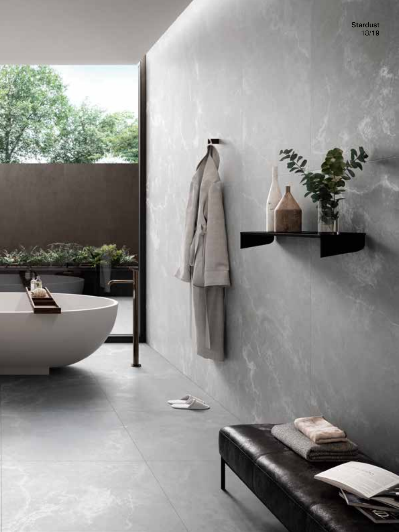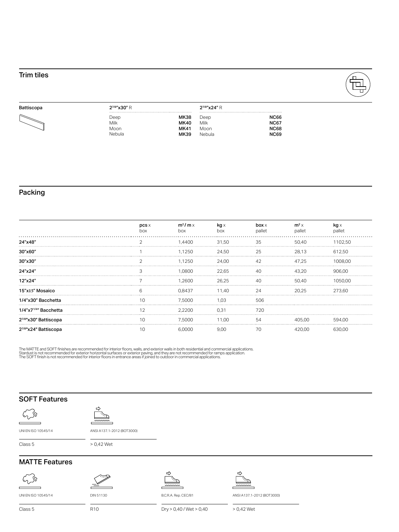#### Trim tiles

| Battiscopa | 27/8"x30" R | 27/8"x24" R |         |             |
|------------|-------------|-------------|---------|-------------|
| ∼          | Deep        | <b>MK38</b> | Deep    | <b>NC66</b> |
|            | Milk        | <b>MK40</b> | Milk    | <b>NC67</b> |
|            | Moon        | <b>MK41</b> | Moon    | <b>NC68</b> |
|            | Nebula      | MK39        | Nebula، | <b>NC69</b> |

#### Packing

|                                   | $pcs \times$ | $m^2/m \times$<br>box |       | $box \times$<br>pallet | m4)<br>pallet | kg x    |
|-----------------------------------|--------------|-----------------------|-------|------------------------|---------------|---------|
| 24"x48"                           |              | .4400                 | 31.50 | 35                     | 5040          | 1102.50 |
| 30"x60"                           |              | 1,1250                | 24.50 | 25                     | 28.13         | 612.50  |
| 30"x30"                           |              | 1.1250                | 24.00 |                        | 47.25         | 1008.00 |
| 24"x24"                           |              | 1.0800                | 22.65 |                        |               | 906.00  |
| 12"x24"                           |              |                       | 26.25 |                        |               |         |
| 15"x15" Mosaico                   |              |                       | $-4C$ |                        |               |         |
| 1/4″x30″ Bacchetta                |              |                       | റ3    | 506                    |               |         |
| 1/4″x7¼″ Bacchetta                |              |                       |       |                        |               |         |
| 27/8"x30" Battiscopa              |              | 7.5000                | 11.00 | 54                     | 405.00        |         |
| 2 <sup>7/8</sup> "x24" Battiscopa |              |                       |       |                        |               |         |

The MATTE and SOFT finishes are recommended for interior floors, walls, and exterior walls in both residential and commercial applications.<br>Stardust is not recommended for exterior horizontal surfaces or exterior paving, a

#### SOFT Features















### Class 5 > 0,42 Wet

#### MATTE Features











UNI EN ISO 10545/14 DIN 51130 B.C.R.A. Rep. CEC/81 ANSI A137.1-2012 (BOT3000)

Class 5 R10 R10 Dry > 0,40 / Wet > 0,40 > 0,42 Wet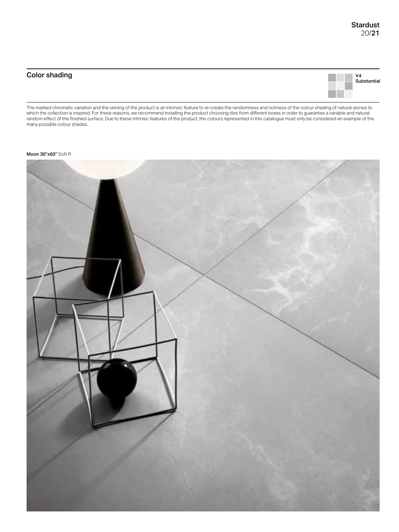#### Color shading



The marked chromatic variation and the veining of the product is an intrinsic feature to re-create the randomness and richness of the colour shading of natural stones to which the collection is inspired. For these reasons, we recommend installing the product choosing tiles from different boxes in order to guarantee a variable and natural random effect of the finished surface. Due to these intrinsic features of the product, the colours represented in this catalogue must only be considered an example of the many possible colour shades.

Moon 30"x60" Soft R

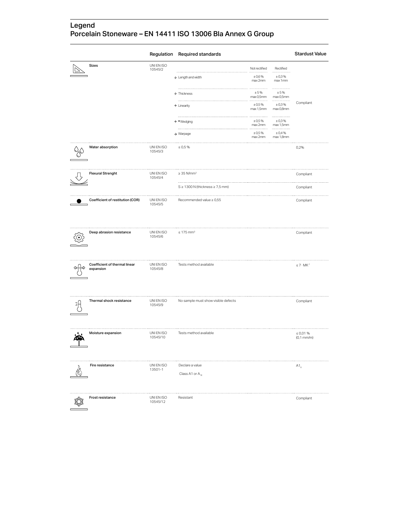#### Legend Porcelain Stoneware – EN 14411 ISO 13006 Bla Annex G Group

|         |                                            |                        | Regulation Required standards                  |                             |                              | <b>Stardust Value</b>             |
|---------|--------------------------------------------|------------------------|------------------------------------------------|-----------------------------|------------------------------|-----------------------------------|
|         | Sizes                                      | UNI EN ISO<br>10545/2  |                                                | Not rectified               | Rectified                    |                                   |
|         |                                            |                        | $\rightarrow$ Length and width                 | ±0,6%<br>max 2mm            | ± 0,3%<br>max 1mm            |                                   |
|         |                                            |                        | .<br>$\rightarrow$ Thickness                   | <br>±5%<br>max 0,5mm        | .<br>± 5%<br>max 0,5mm       |                                   |
|         |                                            |                        | .<br>$\rightarrow$ Linearity                   | .<br>± 0.5%<br>max 1,5mm    | .<br>± 0,3%<br>max 0,8mm     | Compliant                         |
|         |                                            |                        | .<br>$\rightarrow$ • Wedging<br>.              | .<br>± 0.5%<br>max 2mm<br>. | .<br>± 0.3%<br>max 1,5mm<br> |                                   |
|         |                                            |                        | $\rightarrow$ Warpage                          | ± 0.5%<br>max 2mm           | ± 0,4%<br>max 1,8mm          |                                   |
|         | Water absorption                           | UNI EN ISO<br>10545/3  | $\leq 0.5 \%$                                  |                             |                              | 0,2%                              |
|         | <b>Flexural Strenght</b>                   | UNI EN ISO<br>10545/4  | $\geq$ 35 N/mm <sup>2</sup>                    |                             |                              | Compliant                         |
|         |                                            |                        | $S \ge 1300$ N (thickness $\ge 7.5$ mm)        |                             |                              | Compliant                         |
|         | Coefficient of restitution (COR)           | UNI EN ISO<br>10545/5  | Recommended value $\geq 0.55$                  |                             |                              | Compliant                         |
|         | Deep abrasion resistance                   | UNI EN ISO<br>10545/6  | $\leq 175$ mm <sup>3</sup>                     |                             |                              | Compliant                         |
|         | Coefficient of thermal linear<br>expansion | UNI EN ISO<br>10545/8  | Tests method available                         |                             |                              | $\leq 7 \cdot MK^{-1}$            |
|         | Thermal shock resistance                   | UNI EN ISO<br>10545/9  | No sample must show visible defects            |                             |                              | Compliant                         |
|         | Moisture expansion                         | UNI EN ISO<br>10545/10 | Tests method available                         |                             |                              | $\leq 0.01~\%$<br>$(0,1$ mm/m $)$ |
|         | Fire resistance                            | UNI EN ISO<br>13501-1  | Declare a value<br>Class A1 or A <sub>1f</sub> |                             |                              | $A1_{\rm fl}$                     |
| ઌ૾ૺૼૢઌ૾ | Frost resistance                           | UNI EN ISO<br>10545/12 | Resistant                                      |                             |                              | Compliant                         |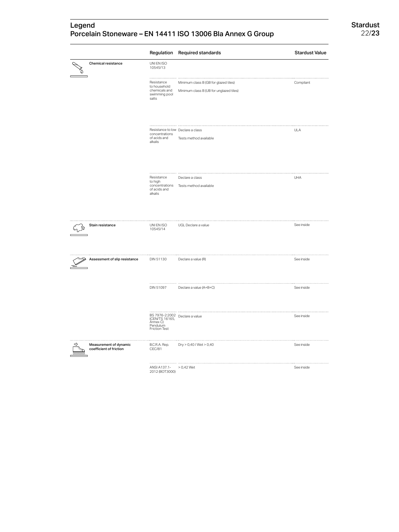| Legend                                                     |  |
|------------------------------------------------------------|--|
| Porcelain Stoneware – EN 14411 ISO 13006 Bla Annex G Group |  |

**Stardust** 22/23

|                     |                                                   |                                                                                           | Regulation Required standards                                                    | <b>Stardust Value</b> |
|---------------------|---------------------------------------------------|-------------------------------------------------------------------------------------------|----------------------------------------------------------------------------------|-----------------------|
| Chemical resistance |                                                   | UNI EN ISO<br>10545/13                                                                    |                                                                                  |                       |
|                     |                                                   | Resistance<br>to household<br>chemicals and<br>swimming pool<br>salts                     | Minimum class B (GB for glazed tiles)<br>Minimum class B (UB for unglazed tiles) | Compliant             |
|                     |                                                   | Resistance to low Declare a class<br>concentrations<br>of acids and<br>alkalis            | Tests method available                                                           | ULA                   |
|                     |                                                   | Resistance<br>to high<br>concentrations<br>of acids and<br>alkalis                        | Declare a class<br>Tests method available                                        | <b>UHA</b>            |
|                     | Stain resistance                                  | UNI EN ISO<br>10545/14                                                                    | UGL Declare a value                                                              | See inside            |
|                     | Assessment of slip resistance                     | DIN 51130                                                                                 | Declare a value (R)                                                              | See inside            |
|                     |                                                   | DIN 51097                                                                                 | Declare a value (A+B+C)                                                          | See inside            |
|                     |                                                   | BS 7976-2:2002 Declare a value<br>(CEN/TS 16165,<br>Annex C)<br>Pendulum<br>Friction Test |                                                                                  | See inside            |
|                     | Measurement of dynamic<br>coefficient of friction | B.C.R.A. Rep.<br>CEC/81                                                                   | Dry > 0,40 / Wet > 0,40                                                          | See inside            |
|                     |                                                   | ANSI A137.1-<br>2012 (BOT3000)                                                            | > 0,42 Wet                                                                       | See inside            |